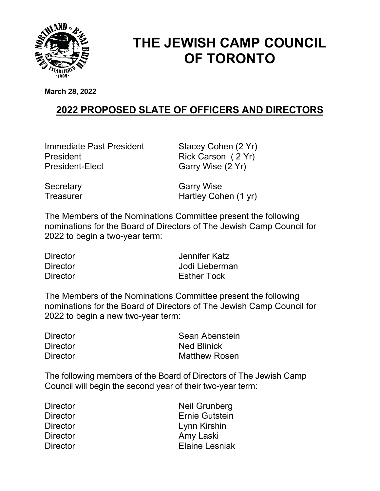

## THE JEWISH CAMP COUNCIL OF TORONTO

March 28, 2022

## 2022 PROPOSED SLATE OF OFFICERS AND DIRECTORS

Immediate Past President Stacey Cohen (2 Yr) President Rick Carson ( 2 Yr) President-Elect Garry Wise (2 Yr)

Secretary Garry Wise Treasurer **Hartley Cohen (1 yr)** 

The Members of the Nominations Committee present the following nominations for the Board of Directors of The Jewish Camp Council for 2022 to begin a two-year term:

| <b>Director</b> | Jennifer Katz      |
|-----------------|--------------------|
| <b>Director</b> | Jodi Lieberman     |
| <b>Director</b> | <b>Esther Tock</b> |

The Members of the Nominations Committee present the following nominations for the Board of Directors of The Jewish Camp Council for 2022 to begin a new two-year term:

| <b>Director</b> | Sean Abenstein       |
|-----------------|----------------------|
| <b>Director</b> | <b>Ned Blinick</b>   |
| <b>Director</b> | <b>Matthew Rosen</b> |

The following members of the Board of Directors of The Jewish Camp Council will begin the second year of their two-year term:

| <b>Director</b> | <b>Neil Grunberg</b>  |
|-----------------|-----------------------|
| <b>Director</b> | <b>Ernie Gutstein</b> |
| <b>Director</b> | Lynn Kirshin          |
| <b>Director</b> | Amy Laski             |
| <b>Director</b> | <b>Elaine Lesniak</b> |